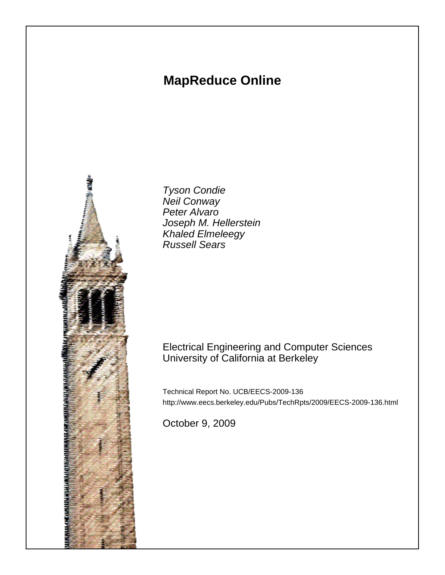# **MapReduce Online**



Tyson Condie Neil Conway Peter Alvaro Joseph M. Hellerstein Khaled Elmeleegy Russell Sears

# Electrical Engineering and Computer Sciences University of California at Berkeley

Technical Report No. UCB/EECS-2009-136 http://www.eecs.berkeley.edu/Pubs/TechRpts/2009/EECS-2009-136.html

October 9, 2009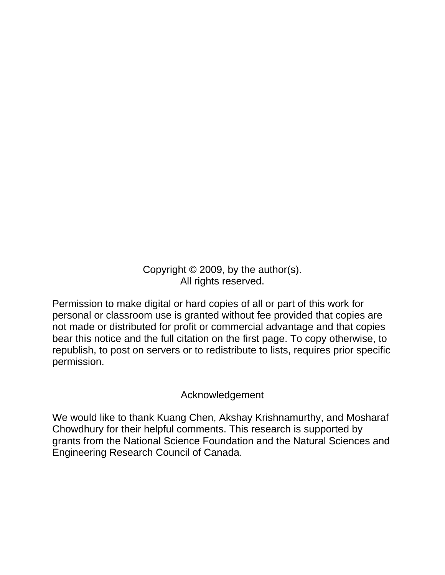Copyright © 2009, by the author(s). All rights reserved.

Permission to make digital or hard copies of all or part of this work for personal or classroom use is granted without fee provided that copies are not made or distributed for profit or commercial advantage and that copies bear this notice and the full citation on the first page. To copy otherwise, to republish, to post on servers or to redistribute to lists, requires prior specific permission.

# Acknowledgement

We would like to thank Kuang Chen, Akshay Krishnamurthy, and Mosharaf Chowdhury for their helpful comments. This research is supported by grants from the National Science Foundation and the Natural Sciences and Engineering Research Council of Canada.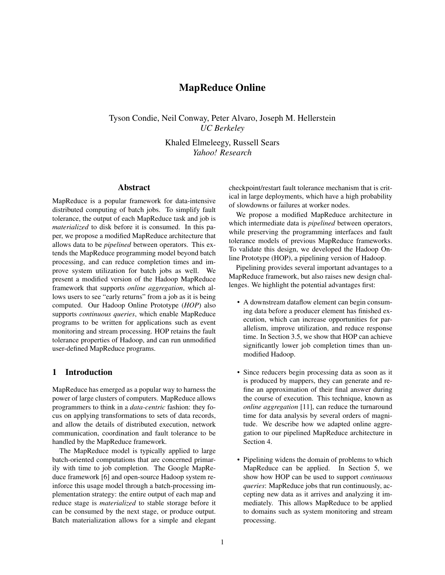# MapReduce Online

Tyson Condie, Neil Conway, Peter Alvaro, Joseph M. Hellerstein *UC Berkeley*

> Khaled Elmeleegy, Russell Sears *Yahoo! Research*

### Abstract

MapReduce is a popular framework for data-intensive distributed computing of batch jobs. To simplify fault tolerance, the output of each MapReduce task and job is *materialized* to disk before it is consumed. In this paper, we propose a modified MapReduce architecture that allows data to be *pipelined* between operators. This extends the MapReduce programming model beyond batch processing, and can reduce completion times and improve system utilization for batch jobs as well. We present a modified version of the Hadoop MapReduce framework that supports *online aggregation*, which allows users to see "early returns" from a job as it is being computed. Our Hadoop Online Prototype (*HOP*) also supports *continuous queries*, which enable MapReduce programs to be written for applications such as event monitoring and stream processing. HOP retains the fault tolerance properties of Hadoop, and can run unmodified user-defined MapReduce programs.

# 1 Introduction

MapReduce has emerged as a popular way to harness the power of large clusters of computers. MapReduce allows programmers to think in a *data-centric* fashion: they focus on applying transformations to sets of data records, and allow the details of distributed execution, network communication, coordination and fault tolerance to be handled by the MapReduce framework.

The MapReduce model is typically applied to large batch-oriented computations that are concerned primarily with time to job completion. The Google MapReduce framework [6] and open-source Hadoop system reinforce this usage model through a batch-processing implementation strategy: the entire output of each map and reduce stage is *materialized* to stable storage before it can be consumed by the next stage, or produce output. Batch materialization allows for a simple and elegant checkpoint/restart fault tolerance mechanism that is critical in large deployments, which have a high probability of slowdowns or failures at worker nodes.

We propose a modified MapReduce architecture in which intermediate data is *pipelined* between operators, while preserving the programming interfaces and fault tolerance models of previous MapReduce frameworks. To validate this design, we developed the Hadoop Online Prototype (HOP), a pipelining version of Hadoop.

Pipelining provides several important advantages to a MapReduce framework, but also raises new design challenges. We highlight the potential advantages first:

- A downstream dataflow element can begin consuming data before a producer element has finished execution, which can increase opportunities for parallelism, improve utilization, and reduce response time. In Section 3.5, we show that HOP can achieve significantly lower job completion times than unmodified Hadoop.
- Since reducers begin processing data as soon as it is produced by mappers, they can generate and refine an approximation of their final answer during the course of execution. This technique, known as *online aggregation* [11], can reduce the turnaround time for data analysis by several orders of magnitude. We describe how we adapted online aggregation to our pipelined MapReduce architecture in Section 4.
- Pipelining widens the domain of problems to which MapReduce can be applied. In Section 5, we show how HOP can be used to support *continuous queries*: MapReduce jobs that run continuously, accepting new data as it arrives and analyzing it immediately. This allows MapReduce to be applied to domains such as system monitoring and stream processing.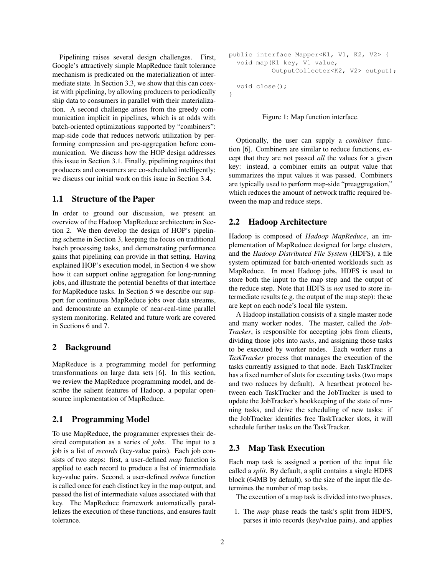Pipelining raises several design challenges. First, Google's attractively simple MapReduce fault tolerance mechanism is predicated on the materialization of intermediate state. In Section 3.3, we show that this can coexist with pipelining, by allowing producers to periodically ship data to consumers in parallel with their materialization. A second challenge arises from the greedy communication implicit in pipelines, which is at odds with batch-oriented optimizations supported by "combiners": map-side code that reduces network utilization by performing compression and pre-aggregation before communication. We discuss how the HOP design addresses this issue in Section 3.1. Finally, pipelining requires that producers and consumers are co-scheduled intelligently; we discuss our initial work on this issue in Section 3.4.

# 1.1 Structure of the Paper

In order to ground our discussion, we present an overview of the Hadoop MapReduce architecture in Section 2. We then develop the design of HOP's pipelining scheme in Section 3, keeping the focus on traditional batch processing tasks, and demonstrating performance gains that pipelining can provide in that setting. Having explained HOP's execution model, in Section 4 we show how it can support online aggregation for long-running jobs, and illustrate the potential benefits of that interface for MapReduce tasks. In Section 5 we describe our support for continuous MapReduce jobs over data streams, and demonstrate an example of near-real-time parallel system monitoring. Related and future work are covered in Sections 6 and 7.

### 2 Background

MapReduce is a programming model for performing transformations on large data sets [6]. In this section, we review the MapReduce programming model, and describe the salient features of Hadoop, a popular opensource implementation of MapReduce.

#### 2.1 Programming Model

To use MapReduce, the programmer expresses their desired computation as a series of *jobs*. The input to a job is a list of *records* (key-value pairs). Each job consists of two steps: first, a user-defined *map* function is applied to each record to produce a list of intermediate key-value pairs. Second, a user-defined *reduce* function is called once for each distinct key in the map output, and passed the list of intermediate values associated with that key. The MapReduce framework automatically parallelizes the execution of these functions, and ensures fault tolerance.

```
public interface Mapper<K1, V1, K2, V2> {
  void map(K1 key, V1 value,
           OutputCollector<K2, V2> output);
  void close();
```
}

Figure 1: Map function interface.

Optionally, the user can supply a *combiner* function [6]. Combiners are similar to reduce functions, except that they are not passed *all* the values for a given key: instead, a combiner emits an output value that summarizes the input values it was passed. Combiners are typically used to perform map-side "preaggregation," which reduces the amount of network traffic required between the map and reduce steps.

#### 2.2 Hadoop Architecture

Hadoop is composed of *Hadoop MapReduce*, an implementation of MapReduce designed for large clusters, and the *Hadoop Distributed File System* (HDFS), a file system optimized for batch-oriented workloads such as MapReduce. In most Hadoop jobs, HDFS is used to store both the input to the map step and the output of the reduce step. Note that HDFS is *not* used to store intermediate results (e.g. the output of the map step): these are kept on each node's local file system.

A Hadoop installation consists of a single master node and many worker nodes. The master, called the *Job-Tracker*, is responsible for accepting jobs from clients, dividing those jobs into *tasks*, and assigning those tasks to be executed by worker nodes. Each worker runs a *TaskTracker* process that manages the execution of the tasks currently assigned to that node. Each TaskTracker has a fixed number of slots for executing tasks (two maps and two reduces by default). A heartbeat protocol between each TaskTracker and the JobTracker is used to update the JobTracker's bookkeeping of the state of running tasks, and drive the scheduling of new tasks: if the JobTracker identifies free TaskTracker slots, it will schedule further tasks on the TaskTracker.

#### 2.3 Map Task Execution

Each map task is assigned a portion of the input file called a *split*. By default, a split contains a single HDFS block (64MB by default), so the size of the input file determines the number of map tasks.

The execution of a map task is divided into two phases.

1. The *map* phase reads the task's split from HDFS, parses it into records (key/value pairs), and applies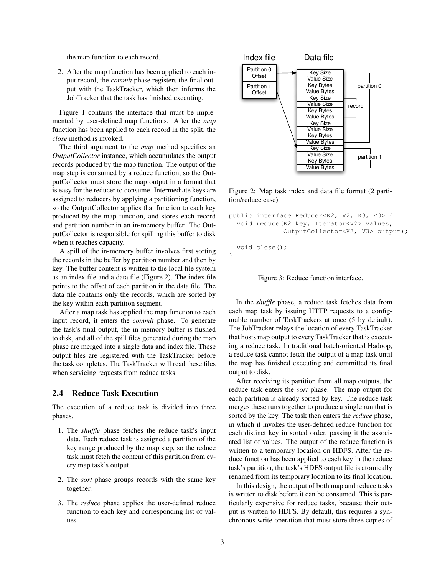the map function to each record.

2. After the map function has been applied to each input record, the *commit* phase registers the final output with the TaskTracker, which then informs the JobTracker that the task has finished executing.

Figure 1 contains the interface that must be implemented by user-defined map functions. After the *map* function has been applied to each record in the split, the *close* method is invoked.

The third argument to the *map* method specifies an *OutputCollector* instance, which accumulates the output records produced by the map function. The output of the map step is consumed by a reduce function, so the OutputCollector must store the map output in a format that is easy for the reducer to consume. Intermediate keys are assigned to reducers by applying a partitioning function, so the OutputCollector applies that function to each key produced by the map function, and stores each record and partition number in an in-memory buffer. The OutputCollector is responsible for spilling this buffer to disk when it reaches capacity.

A spill of the in-memory buffer involves first sorting the records in the buffer by partition number and then by key. The buffer content is written to the local file system as an index file and a data file (Figure 2). The index file points to the offset of each partition in the data file. The data file contains only the records, which are sorted by the key within each partition segment.

After a map task has applied the map function to each input record, it enters the *commit* phase. To generate the task's final output, the in-memory buffer is flushed to disk, and all of the spill files generated during the map phase are merged into a single data and index file. These output files are registered with the TaskTracker before the task completes. The TaskTracker will read these files when servicing requests from reduce tasks.

# 2.4 Reduce Task Execution

The execution of a reduce task is divided into three phases.

- 1. The *shuffle* phase fetches the reduce task's input data. Each reduce task is assigned a partition of the key range produced by the map step, so the reduce task must fetch the content of this partition from every map task's output.
- 2. The *sort* phase groups records with the same key together.
- 3. The *reduce* phase applies the user-defined reduce function to each key and corresponding list of values.



Figure 2: Map task index and data file format (2 partition/reduce case).

```
public interface Reducer<K2, V2, K3, V3> {
  void reduce(K2 key, Iterator<V2> values,
              OutputCollector<K3, V3> output);
  void close();
}
```


In the *shuffle* phase, a reduce task fetches data from each map task by issuing HTTP requests to a configurable number of TaskTrackers at once (5 by default). The JobTracker relays the location of every TaskTracker that hosts map output to every TaskTracker that is executing a reduce task. In traditional batch-oriented Hadoop, a reduce task cannot fetch the output of a map task until the map has finished executing and committed its final output to disk.

After receiving its partition from all map outputs, the reduce task enters the *sort* phase. The map output for each partition is already sorted by key. The reduce task merges these runs together to produce a single run that is sorted by the key. The task then enters the *reduce* phase, in which it invokes the user-defined reduce function for each distinct key in sorted order, passing it the associated list of values. The output of the reduce function is written to a temporary location on HDFS. After the reduce function has been applied to each key in the reduce task's partition, the task's HDFS output file is atomically renamed from its temporary location to its final location.

In this design, the output of both map and reduce tasks is written to disk before it can be consumed. This is particularly expensive for reduce tasks, because their output is written to HDFS. By default, this requires a synchronous write operation that must store three copies of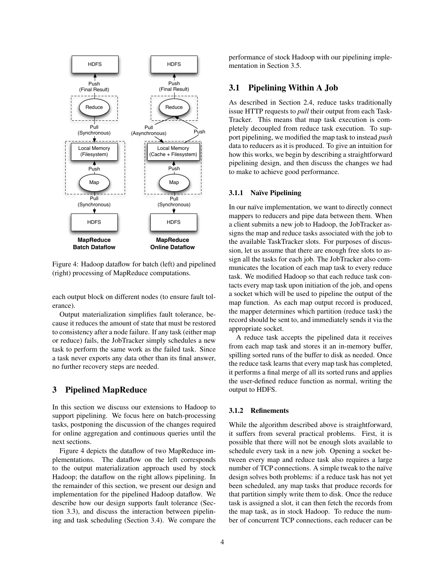

Figure 4: Hadoop dataflow for batch (left) and pipelined (right) processing of MapReduce computations.

each output block on different nodes (to ensure fault tolerance).

Output materialization simplifies fault tolerance, because it reduces the amount of state that must be restored to consistency after a node failure. If any task (either map or reduce) fails, the JobTracker simply schedules a new task to perform the same work as the failed task. Since a task never exports any data other than its final answer, no further recovery steps are needed.

#### 3 Pipelined MapReduce

In this section we discuss our extensions to Hadoop to support pipelining. We focus here on batch-processing tasks, postponing the discussion of the changes required for online aggregation and continuous queries until the next sections.

Figure 4 depicts the dataflow of two MapReduce implementations. The dataflow on the left corresponds to the output materialization approach used by stock Hadoop; the dataflow on the right allows pipelining. In the remainder of this section, we present our design and implementation for the pipelined Hadoop dataflow. We describe how our design supports fault tolerance (Section 3.3), and discuss the interaction between pipelining and task scheduling (Section 3.4). We compare the performance of stock Hadoop with our pipelining implementation in Section 3.5.

# 3.1 Pipelining Within A Job

As described in Section 2.4, reduce tasks traditionally issue HTTP requests to *pull* their output from each Task-Tracker. This means that map task execution is completely decoupled from reduce task execution. To support pipelining, we modified the map task to instead *push* data to reducers as it is produced. To give an intuition for how this works, we begin by describing a straightforward pipelining design, and then discuss the changes we had to make to achieve good performance.

#### 3.1.1 Naïve Pipelining

In our naïve implementation, we want to directly connect mappers to reducers and pipe data between them. When a client submits a new job to Hadoop, the JobTracker assigns the map and reduce tasks associated with the job to the available TaskTracker slots. For purposes of discussion, let us assume that there are enough free slots to assign all the tasks for each job. The JobTracker also communicates the location of each map task to every reduce task. We modified Hadoop so that each reduce task contacts every map task upon initiation of the job, and opens a socket which will be used to pipeline the output of the map function. As each map output record is produced, the mapper determines which partition (reduce task) the record should be sent to, and immediately sends it via the appropriate socket.

A reduce task accepts the pipelined data it receives from each map task and stores it an in-memory buffer, spilling sorted runs of the buffer to disk as needed. Once the reduce task learns that every map task has completed, it performs a final merge of all its sorted runs and applies the user-defined reduce function as normal, writing the output to HDFS.

#### 3.1.2 Refinements

While the algorithm described above is straightforward, it suffers from several practical problems. First, it is possible that there will not be enough slots available to schedule every task in a new job. Opening a socket between every map and reduce task also requires a large number of TCP connections. A simple tweak to the naïve design solves both problems: if a reduce task has not yet been scheduled, any map tasks that produce records for that partition simply write them to disk. Once the reduce task is assigned a slot, it can then fetch the records from the map task, as in stock Hadoop. To reduce the number of concurrent TCP connections, each reducer can be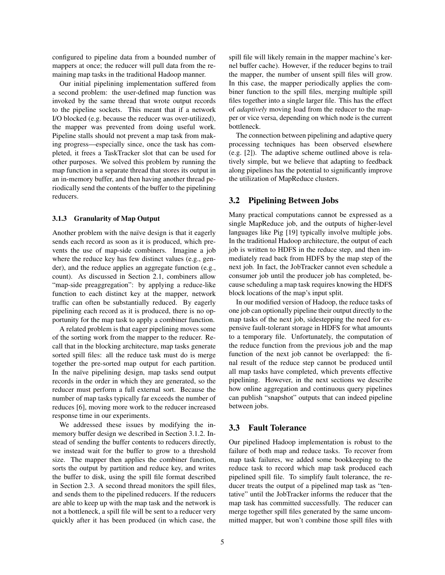configured to pipeline data from a bounded number of mappers at once; the reducer will pull data from the remaining map tasks in the traditional Hadoop manner.

Our initial pipelining implementation suffered from a second problem: the user-defined map function was invoked by the same thread that wrote output records to the pipeline sockets. This meant that if a network I/O blocked (e.g. because the reducer was over-utilized), the mapper was prevented from doing useful work. Pipeline stalls should not prevent a map task from making progress—especially since, once the task has completed, it frees a TaskTracker slot that can be used for other purposes. We solved this problem by running the map function in a separate thread that stores its output in an in-memory buffer, and then having another thread periodically send the contents of the buffer to the pipelining reducers.

#### 3.1.3 Granularity of Map Output

Another problem with the naïve design is that it eagerly sends each record as soon as it is produced, which prevents the use of map-side combiners. Imagine a job where the reduce key has few distinct values (e.g., gender), and the reduce applies an aggregate function (e.g., count). As discussed in Section 2.1, combiners allow "map-side preaggregation": by applying a reduce-like function to each distinct key at the mapper, network traffic can often be substantially reduced. By eagerly pipelining each record as it is produced, there is no opportunity for the map task to apply a combiner function.

A related problem is that eager pipelining moves some of the sorting work from the mapper to the reducer. Recall that in the blocking architecture, map tasks generate sorted spill files: all the reduce task must do is merge together the pre-sorted map output for each partition. In the naïve pipelining design, map tasks send output records in the order in which they are generated, so the reducer must perform a full external sort. Because the number of map tasks typically far exceeds the number of reduces [6], moving more work to the reducer increased response time in our experiments.

We addressed these issues by modifying the inmemory buffer design we described in Section 3.1.2. Instead of sending the buffer contents to reducers directly, we instead wait for the buffer to grow to a threshold size. The mapper then applies the combiner function, sorts the output by partition and reduce key, and writes the buffer to disk, using the spill file format described in Section 2.3. A second thread monitors the spill files, and sends them to the pipelined reducers. If the reducers are able to keep up with the map task and the network is not a bottleneck, a spill file will be sent to a reducer very quickly after it has been produced (in which case, the spill file will likely remain in the mapper machine's kernel buffer cache). However, if the reducer begins to trail the mapper, the number of unsent spill files will grow. In this case, the mapper periodically applies the combiner function to the spill files, merging multiple spill files together into a single larger file. This has the effect of *adaptively* moving load from the reducer to the mapper or vice versa, depending on which node is the current bottleneck.

The connection between pipelining and adaptive query processing techniques has been observed elsewhere (e.g. [2]). The adaptive scheme outlined above is relatively simple, but we believe that adapting to feedback along pipelines has the potential to significantly improve the utilization of MapReduce clusters.

#### 3.2 Pipelining Between Jobs

Many practical computations cannot be expressed as a single MapReduce job, and the outputs of higher-level languages like Pig [19] typically involve multiple jobs. In the traditional Hadoop architecture, the output of each job is written to HDFS in the reduce step, and then immediately read back from HDFS by the map step of the next job. In fact, the JobTracker cannot even schedule a consumer job until the producer job has completed, because scheduling a map task requires knowing the HDFS block locations of the map's input split.

In our modified version of Hadoop, the reduce tasks of one job can optionally pipeline their output directly to the map tasks of the next job, sidestepping the need for expensive fault-tolerant storage in HDFS for what amounts to a temporary file. Unfortunately, the computation of the reduce function from the previous job and the map function of the next job cannot be overlapped: the final result of the reduce step cannot be produced until all map tasks have completed, which prevents effective pipelining. However, in the next sections we describe how online aggregation and continuous query pipelines can publish "snapshot" outputs that can indeed pipeline between jobs.

# 3.3 Fault Tolerance

Our pipelined Hadoop implementation is robust to the failure of both map and reduce tasks. To recover from map task failures, we added some bookkeeping to the reduce task to record which map task produced each pipelined spill file. To simplify fault tolerance, the reducer treats the output of a pipelined map task as "tentative" until the JobTracker informs the reducer that the map task has committed successfully. The reducer can merge together spill files generated by the same uncommitted mapper, but won't combine those spill files with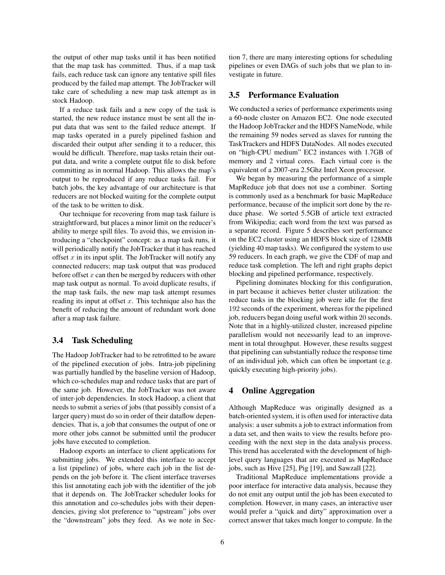the output of other map tasks until it has been notified that the map task has committed. Thus, if a map task fails, each reduce task can ignore any tentative spill files produced by the failed map attempt. The JobTracker will take care of scheduling a new map task attempt as in stock Hadoop.

If a reduce task fails and a new copy of the task is started, the new reduce instance must be sent all the input data that was sent to the failed reduce attempt. If map tasks operated in a purely pipelined fashion and discarded their output after sending it to a reducer, this would be difficult. Therefore, map tasks retain their output data, and write a complete output file to disk before committing as in normal Hadoop. This allows the map's output to be reproduced if any reduce tasks fail. For batch jobs, the key advantage of our architecture is that reducers are not blocked waiting for the complete output of the task to be written to disk.

Our technique for recovering from map task failure is straightforward, but places a minor limit on the reducer's ability to merge spill files. To avoid this, we envision introducing a "checkpoint" concept: as a map task runs, it will periodically notify the JobTracker that it has reached offset  $x$  in its input split. The JobTracker will notify any connected reducers; map task output that was produced before offset  $x$  can then be merged by reducers with other map task output as normal. To avoid duplicate results, if the map task fails, the new map task attempt resumes reading its input at offset  $x$ . This technique also has the benefit of reducing the amount of redundant work done after a map task failure.

# 3.4 Task Scheduling

The Hadoop JobTracker had to be retrofitted to be aware of the pipelined execution of jobs. Intra-job pipelining was partially handled by the baseline version of Hadoop, which co-schedules map and reduce tasks that are part of the same job. However, the JobTracker was not aware of inter-job dependencies. In stock Hadoop, a client that needs to submit a series of jobs (that possibly consist of a larger query) must do so in order of their dataflow dependencies. That is, a job that consumes the output of one or more other jobs cannot be submitted until the producer jobs have executed to completion.

Hadoop exports an interface to client applications for submitting jobs. We extended this interface to accept a list (pipeline) of jobs, where each job in the list depends on the job before it. The client interface traverses this list annotating each job with the identifier of the job that it depends on. The JobTracker scheduler looks for this annotation and co-schedules jobs with their dependencies, giving slot preference to "upstream" jobs over the "downstream" jobs they feed. As we note in Section 7, there are many interesting options for scheduling pipelines or even DAGs of such jobs that we plan to investigate in future.

#### 3.5 Performance Evaluation

We conducted a series of performance experiments using a 60-node cluster on Amazon EC2. One node executed the Hadoop JobTracker and the HDFS NameNode, while the remaining 59 nodes served as slaves for running the TaskTrackers and HDFS DataNodes. All nodes executed on "high-CPU medium" EC2 instances with 1.7GB of memory and 2 virtual cores. Each virtual core is the equivalent of a 2007-era 2.5Ghz Intel Xeon processor.

We began by measuring the performance of a simple MapReduce job that does not use a combiner. Sorting is commonly used as a benchmark for basic MapReduce performance, because of the implicit sort done by the reduce phase. We sorted 5.5GB of article text extracted from Wikipedia; each word from the text was parsed as a separate record. Figure 5 describes sort performance on the EC2 cluster using an HDFS block size of 128MB (yielding 40 map tasks). We configured the system to use 59 reducers. In each graph, we give the CDF of map and reduce task completion. The left and right graphs depict blocking and pipelined performance, respectively.

Pipelining dominates blocking for this configuration, in part because it achieves better cluster utilization: the reduce tasks in the blocking job were idle for the first 192 seconds of the experiment, whereas for the pipelined job, reducers began doing useful work within 20 seconds. Note that in a highly-utilized cluster, increased pipeline parallelism would not necessarily lead to an improvement in total throughput. However, these results suggest that pipelining can substantially reduce the response time of an individual job, which can often be important (e.g. quickly executing high-priority jobs).

# 4 Online Aggregation

Although MapReduce was originally designed as a batch-oriented system, it is often used for interactive data analysis: a user submits a job to extract information from a data set, and then waits to view the results before proceeding with the next step in the data analysis process. This trend has accelerated with the development of highlevel query languages that are executed as MapReduce jobs, such as Hive [25], Pig [19], and Sawzall [22].

Traditional MapReduce implementations provide a poor interface for interactive data analysis, because they do not emit any output until the job has been executed to completion. However, in many cases, an interactive user would prefer a "quick and dirty" approximation over a correct answer that takes much longer to compute. In the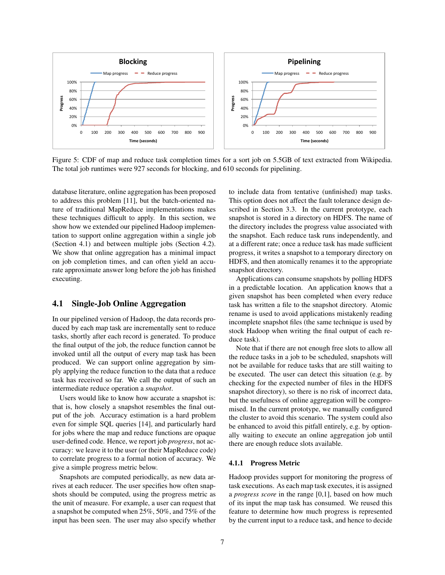

Figure 5: CDF of map and reduce task completion times for a sort job on 5.5GB of text extracted from Wikipedia. The total job runtimes were 927 seconds for blocking, and 610 seconds for pipelining.

database literature, online aggregation has been proposed to address this problem [11], but the batch-oriented nature of traditional MapReduce implementations makes these techniques difficult to apply. In this section, we show how we extended our pipelined Hadoop implementation to support online aggregation within a single job (Section 4.1) and between multiple jobs (Section 4.2). We show that online aggregation has a minimal impact on job completion times, and can often yield an accurate approximate answer long before the job has finished executing.

### 4.1 Single-Job Online Aggregation

In our pipelined version of Hadoop, the data records produced by each map task are incrementally sent to reduce tasks, shortly after each record is generated. To produce the final output of the job, the reduce function cannot be invoked until all the output of every map task has been produced. We can support online aggregation by simply applying the reduce function to the data that a reduce task has received so far. We call the output of such an intermediate reduce operation a *snapshot*.

Users would like to know how accurate a snapshot is: that is, how closely a snapshot resembles the final output of the job. Accuracy estimation is a hard problem even for simple SQL queries [14], and particularly hard for jobs where the map and reduce functions are opaque user-defined code. Hence, we report job *progress*, not accuracy: we leave it to the user (or their MapReduce code) to correlate progress to a formal notion of accuracy. We give a simple progress metric below.

Snapshots are computed periodically, as new data arrives at each reducer. The user specifies how often snapshots should be computed, using the progress metric as the unit of measure. For example, a user can request that a snapshot be computed when 25%, 50%, and 75% of the input has been seen. The user may also specify whether to include data from tentative (unfinished) map tasks. This option does not affect the fault tolerance design described in Section 3.3. In the current prototype, each snapshot is stored in a directory on HDFS. The name of the directory includes the progress value associated with the snapshot. Each reduce task runs independently, and at a different rate; once a reduce task has made sufficient progress, it writes a snapshot to a temporary directory on HDFS, and then atomically renames it to the appropriate snapshot directory.

Applications can consume snapshots by polling HDFS in a predictable location. An application knows that a given snapshot has been completed when every reduce task has written a file to the snapshot directory. Atomic rename is used to avoid applications mistakenly reading incomplete snapshot files (the same technique is used by stock Hadoop when writing the final output of each reduce task).

Note that if there are not enough free slots to allow all the reduce tasks in a job to be scheduled, snapshots will not be available for reduce tasks that are still waiting to be executed. The user can detect this situation (e.g. by checking for the expected number of files in the HDFS snapshot directory), so there is no risk of incorrect data, but the usefulness of online aggregation will be compromised. In the current prototype, we manually configured the cluster to avoid this scenario. The system could also be enhanced to avoid this pitfall entirely, e.g. by optionally waiting to execute an online aggregation job until there are enough reduce slots available.

#### 4.1.1 Progress Metric

Hadoop provides support for monitoring the progress of task executions. As each map task executes, it is assigned a *progress score* in the range [0,1], based on how much of its input the map task has consumed. We reused this feature to determine how much progress is represented by the current input to a reduce task, and hence to decide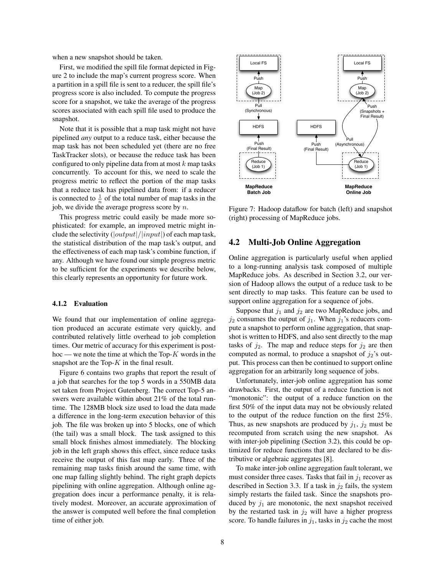when a new snapshot should be taken.

First, we modified the spill file format depicted in Figure 2 to include the map's current progress score. When a partition in a spill file is sent to a reducer, the spill file's progress score is also included. To compute the progress score for a snapshot, we take the average of the progress scores associated with each spill file used to produce the snapshot.

Note that it is possible that a map task might not have pipelined *any* output to a reduce task, either because the map task has not been scheduled yet (there are no free TaskTracker slots), or because the reduce task has been configured to only pipeline data from at most  $k$  map tasks concurrently. To account for this, we need to scale the progress metric to reflect the portion of the map tasks that a reduce task has pipelined data from: if a reducer is connected to  $\frac{1}{n}$  of the total number of map tasks in the job, we divide the average progress score by  $n$ .

This progress metric could easily be made more sophisticated: for example, an improved metric might include the selectivity  $(|output|/|input|)$  of each map task, the statistical distribution of the map task's output, and the effectiveness of each map task's combine function, if any. Although we have found our simple progress metric to be sufficient for the experiments we describe below, this clearly represents an opportunity for future work.

#### 4.1.2 Evaluation

We found that our implementation of online aggregation produced an accurate estimate very quickly, and contributed relatively little overhead to job completion times. Our metric of accuracy for this experiment is posthoc — we note the time at which the Top- $K$  words in the snapshot are the Top- $K$  in the final result.

Figure 6 contains two graphs that report the result of a job that searches for the top 5 words in a 550MB data set taken from Project Gutenberg. The correct Top-5 answers were available within about 21% of the total runtime. The 128MB block size used to load the data made a difference in the long-term execution behavior of this job. The file was broken up into 5 blocks, one of which (the tail) was a small block. The task assigned to this small block finishes almost immediately. The blocking job in the left graph shows this effect, since reduce tasks receive the output of this fast map early. Three of the remaining map tasks finish around the same time, with one map falling slightly behind. The right graph depicts pipelining with online aggregation. Although online aggregation does incur a performance penalty, it is relatively modest. Moreover, an accurate approximation of the answer is computed well before the final completion time of either job.



Figure 7: Hadoop dataflow for batch (left) and snapshot (right) processing of MapReduce jobs.

# 4.2 Multi-Job Online Aggregation

Online aggregation is particularly useful when applied to a long-running analysis task composed of multiple MapReduce jobs. As described in Section 3.2, our version of Hadoop allows the output of a reduce task to be sent directly to map tasks. This feature can be used to support online aggregation for a sequence of jobs.

Suppose that  $j_1$  and  $j_2$  are two MapReduce jobs, and  $j_2$  consumes the output of  $j_1$ . When  $j_1$ 's reducers compute a snapshot to perform online aggregation, that snapshot is written to HDFS, and also sent directly to the map tasks of  $j_2$ . The map and reduce steps for  $j_2$  are then computed as normal, to produce a snapshot of  $j_2$ 's output. This process can then be continued to support online aggregation for an arbitrarily long sequence of jobs.

Unfortunately, inter-job online aggregation has some drawbacks. First, the output of a reduce function is not "monotonic": the output of a reduce function on the first 50% of the input data may not be obviously related to the output of the reduce function on the first 25%. Thus, as new snapshots are produced by  $j_1$ ,  $j_2$  must be recomputed from scratch using the new snapshot. As with inter-job pipelining (Section 3.2), this could be optimized for reduce functions that are declared to be distributive or algebraic aggregates [8].

To make inter-job online aggregation fault tolerant, we must consider three cases. Tasks that fail in  $j_1$  recover as described in Section 3.3. If a task in  $j_2$  fails, the system simply restarts the failed task. Since the snapshots produced by  $j_1$  are monotonic, the next snapshot received by the restarted task in  $j_2$  will have a higher progress score. To handle failures in  $j_1$ , tasks in  $j_2$  cache the most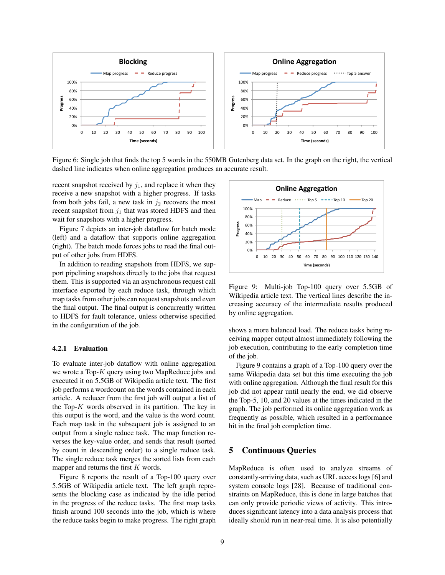

Figure 6: Single job that finds the top 5 words in the 550MB Gutenberg data set. In the graph on the right, the vertical dashed line indicates when online aggregation produces an accurate result.

recent snapshot received by  $j_1$ , and replace it when they receive a new snapshot with a higher progress. If tasks from both jobs fail, a new task in  $j_2$  recovers the most recent snapshot from  $j_1$  that was stored HDFS and then wait for snapshots with a higher progress.

Figure 7 depicts an inter-job dataflow for batch mode (left) and a dataflow that supports online aggregation (right). The batch mode forces jobs to read the final output of other jobs from HDFS.

In addition to reading snapshots from HDFS, we support pipelining snapshots directly to the jobs that request them. This is supported via an asynchronous request call interface exported by each reduce task, through which map tasks from other jobs can request snapshots and even the final output. The final output is concurrently written to HDFS for fault tolerance, unless otherwise specified in the configuration of the job.

#### 4.2.1 Evaluation

To evaluate inter-job dataflow with online aggregation we wrote a Top-K query using two MapReduce jobs and executed it on 5.5GB of Wikipedia article text. The first job performs a wordcount on the words contained in each article. A reducer from the first job will output a list of the Top- $K$  words observed in its partition. The key in this output is the word, and the value is the word count. Each map task in the subsequent job is assigned to an output from a single reduce task. The map function reverses the key-value order, and sends that result (sorted by count in descending order) to a single reduce task. The single reduce task merges the sorted lists from each mapper and returns the first  $K$  words.

Figure 8 reports the result of a Top-100 query over 5.5GB of Wikipedia article text. The left graph represents the blocking case as indicated by the idle period in the progress of the reduce tasks. The first map tasks finish around 100 seconds into the job, which is where the reduce tasks begin to make progress. The right graph



Figure 9: Multi-job Top-100 query over 5.5GB of Wikipedia article text. The vertical lines describe the increasing accuracy of the intermediate results produced by online aggregation.

shows a more balanced load. The reduce tasks being receiving mapper output almost immediately following the job execution, contributing to the early completion time of the job.

Figure 9 contains a graph of a Top-100 query over the same Wikipedia data set but this time executing the job with online aggregation. Although the final result for this job did not appear until nearly the end, we did observe the Top-5, 10, and 20 values at the times indicated in the graph. The job performed its online aggregation work as frequently as possible, which resulted in a performance hit in the final job completion time.

# 5 Continuous Queries

MapReduce is often used to analyze streams of constantly-arriving data, such as URL access logs [6] and system console logs [28]. Because of traditional constraints on MapReduce, this is done in large batches that can only provide periodic views of activity. This introduces significant latency into a data analysis process that ideally should run in near-real time. It is also potentially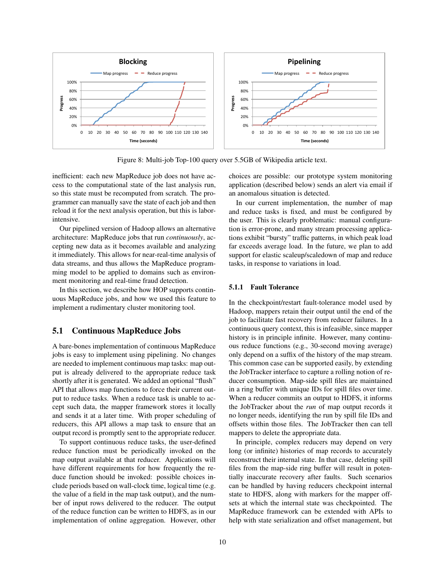

Figure 8: Multi-job Top-100 query over 5.5GB of Wikipedia article text.

inefficient: each new MapReduce job does not have access to the computational state of the last analysis run, so this state must be recomputed from scratch. The programmer can manually save the state of each job and then reload it for the next analysis operation, but this is laborintensive.

Our pipelined version of Hadoop allows an alternative architecture: MapReduce jobs that run *continuously*, accepting new data as it becomes available and analyzing it immediately. This allows for near-real-time analysis of data streams, and thus allows the MapReduce programming model to be applied to domains such as environment monitoring and real-time fraud detection.

In this section, we describe how HOP supports continuous MapReduce jobs, and how we used this feature to implement a rudimentary cluster monitoring tool.

# 5.1 Continuous MapReduce Jobs

A bare-bones implementation of continuous MapReduce jobs is easy to implement using pipelining. No changes are needed to implement continuous map tasks: map output is already delivered to the appropriate reduce task shortly after it is generated. We added an optional "flush" API that allows map functions to force their current output to reduce tasks. When a reduce task is unable to accept such data, the mapper framework stores it locally and sends it at a later time. With proper scheduling of reducers, this API allows a map task to ensure that an output record is promptly sent to the appropriate reducer.

To support continuous reduce tasks, the user-defined reduce function must be periodically invoked on the map output available at that reducer. Applications will have different requirements for how frequently the reduce function should be invoked: possible choices include periods based on wall-clock time, logical time (e.g. the value of a field in the map task output), and the number of input rows delivered to the reducer. The output of the reduce function can be written to HDFS, as in our implementation of online aggregation. However, other choices are possible: our prototype system monitoring application (described below) sends an alert via email if an anomalous situation is detected.

In our current implementation, the number of map and reduce tasks is fixed, and must be configured by the user. This is clearly problematic: manual configuration is error-prone, and many stream processing applications exhibit "bursty" traffic patterns, in which peak load far exceeds average load. In the future, we plan to add support for elastic scaleup/scaledown of map and reduce tasks, in response to variations in load.

#### 5.1.1 Fault Tolerance

In the checkpoint/restart fault-tolerance model used by Hadoop, mappers retain their output until the end of the job to facilitate fast recovery from reducer failures. In a continuous query context, this is infeasible, since mapper history is in principle infinite. However, many continuous reduce functions (e.g., 30-second moving average) only depend on a suffix of the history of the map stream. This common case can be supported easily, by extending the JobTracker interface to capture a rolling notion of reducer consumption. Map-side spill files are maintained in a ring buffer with unique IDs for spill files over time. When a reducer commits an output to HDFS, it informs the JobTracker about the *run* of map output records it no longer needs, identifying the run by spill file IDs and offsets within those files. The JobTracker then can tell mappers to delete the appropriate data.

In principle, complex reducers may depend on very long (or infinite) histories of map records to accurately reconstruct their internal state. In that case, deleting spill files from the map-side ring buffer will result in potentially inaccurate recovery after faults. Such scenarios can be handled by having reducers checkpoint internal state to HDFS, along with markers for the mapper offsets at which the internal state was checkpointed. The MapReduce framework can be extended with APIs to help with state serialization and offset management, but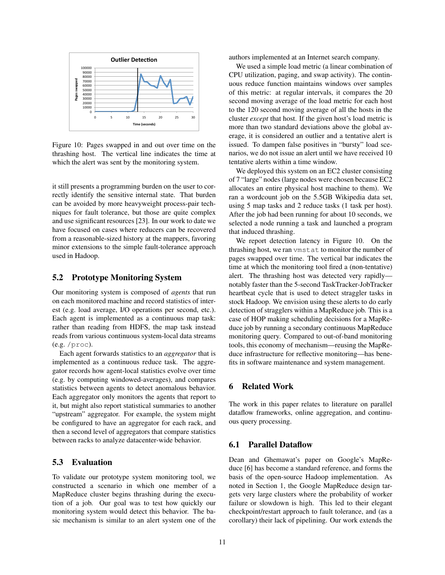

Figure 10: Pages swapped in and out over time on the thrashing host. The vertical line indicates the time at which the alert was sent by the monitoring system.

it still presents a programming burden on the user to correctly identify the sensitive internal state. That burden can be avoided by more heavyweight process-pair techniques for fault tolerance, but those are quite complex and use significant resources [23]. In our work to date we have focused on cases where reducers can be recovered from a reasonable-sized history at the mappers, favoring minor extensions to the simple fault-tolerance approach used in Hadoop.

#### 5.2 Prototype Monitoring System

Our monitoring system is composed of *agents* that run on each monitored machine and record statistics of interest (e.g. load average, I/O operations per second, etc.). Each agent is implemented as a continuous map task: rather than reading from HDFS, the map task instead reads from various continuous system-local data streams (e.g. /proc).

Each agent forwards statistics to an *aggregator* that is implemented as a continuous reduce task. The aggregator records how agent-local statistics evolve over time (e.g. by computing windowed-averages), and compares statistics between agents to detect anomalous behavior. Each aggregator only monitors the agents that report to it, but might also report statistical summaries to another "upstream" aggregator. For example, the system might be configured to have an aggregator for each rack, and then a second level of aggregators that compare statistics between racks to analyze datacenter-wide behavior.

#### 5.3 Evaluation

To validate our prototype system monitoring tool, we constructed a scenario in which one member of a MapReduce cluster begins thrashing during the execution of a job. Our goal was to test how quickly our monitoring system would detect this behavior. The basic mechanism is similar to an alert system one of the authors implemented at an Internet search company.

We used a simple load metric (a linear combination of CPU utilization, paging, and swap activity). The continuous reduce function maintains windows over samples of this metric: at regular intervals, it compares the 20 second moving average of the load metric for each host to the 120 second moving average of all the hosts in the cluster *except* that host. If the given host's load metric is more than two standard deviations above the global average, it is considered an outlier and a tentative alert is issued. To dampen false positives in "bursty" load scenarios, we do not issue an alert until we have received 10 tentative alerts within a time window.

We deployed this system on an EC2 cluster consisting of 7 "large" nodes (large nodes were chosen because EC2 allocates an entire physical host machine to them). We ran a wordcount job on the 5.5GB Wikipedia data set, using 5 map tasks and 2 reduce tasks (1 task per host). After the job had been running for about 10 seconds, we selected a node running a task and launched a program that induced thrashing.

We report detection latency in Figure 10. On the thrashing host, we ran vmstat to monitor the number of pages swapped over time. The vertical bar indicates the time at which the monitoring tool fired a (non-tentative) alert. The thrashing host was detected very rapidly notably faster than the 5-second TaskTracker-JobTracker heartbeat cycle that is used to detect straggler tasks in stock Hadoop. We envision using these alerts to do early detection of stragglers within a MapReduce job. This is a case of HOP making scheduling decisions for a MapReduce job by running a secondary continuous MapReduce monitoring query. Compared to out-of-band monitoring tools, this economy of mechanism—reusing the MapReduce infrastructure for reflective monitoring—has benefits in software maintenance and system management.

# 6 Related Work

The work in this paper relates to literature on parallel dataflow frameworks, online aggregation, and continuous query processing.

#### 6.1 Parallel Dataflow

Dean and Ghemawat's paper on Google's MapReduce [6] has become a standard reference, and forms the basis of the open-source Hadoop implementation. As noted in Section 1, the Google MapReduce design targets very large clusters where the probability of worker failure or slowdown is high. This led to their elegant checkpoint/restart approach to fault tolerance, and (as a corollary) their lack of pipelining. Our work extends the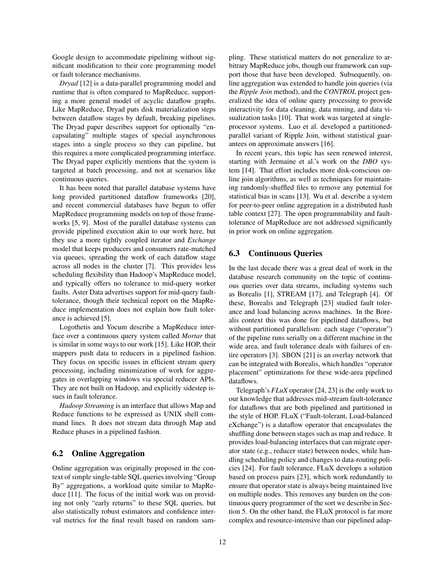Google design to accommodate pipelining without significant modification to their core programming model or fault tolerance mechanisms.

*Dryad* [12] is a data-parallel programming model and runtime that is often compared to MapReduce, supporting a more general model of acyclic dataflow graphs. Like MapReduce, Dryad puts disk materialization steps between dataflow stages by default, breaking pipelines. The Dryad paper describes support for optionally "encapsulating" multiple stages of special asynchronous stages into a single process so they can pipeline, but this requires a more complicated programming interface. The Dryad paper explicitly mentions that the system is targeted at batch processing, and not at scenarios like continuous queries.

It has been noted that parallel database systems have long provided partitioned dataflow frameworks [20], and recent commercial databases have begun to offer MapReduce programming models on top of those frameworks [5, 9]. Most of the parallel database systems can provide pipelined execution akin to our work here, but they use a more tightly coupled iterator and *Exchange* model that keeps producers and consumers rate-matched via queues, spreading the work of each dataflow stage across all nodes in the cluster [7]. This provides less scheduling flexibility than Hadoop's MapReduce model, and typically offers no tolerance to mid-query worker faults. Aster Data advertises support for mid-query faulttolerance, though their technical report on the MapReduce implementation does not explain how fault tolerance is achieved [5].

Logothetis and Yocum describe a MapReduce interface over a continuous query system called *Mortar* that is similar in some ways to our work [15]. Like HOP, their mappers push data to reducers in a pipelined fashion. They focus on specific issues in efficient stream query processing, including minimization of work for aggregates in overlapping windows via special reducer APIs. They are not built on Hadoop, and explicitly sidestep issues in fault tolerance.

*Hadoop Streaming* is an interface that allows Map and Reduce functions to be expressed as UNIX shell command lines. It does not stream data through Map and Reduce phases in a pipelined fashion.

# 6.2 Online Aggregation

Online aggregation was originally proposed in the context of simple single-table SQL queries involving "Group By" aggregations, a workload quite similar to MapReduce [11]. The focus of the initial work was on providing not only "early returns" to these SQL queries, but also statistically robust estimators and confidence interval metrics for the final result based on random sampling. These statistical matters do not generalize to arbitrary MapReduce jobs, though our framework can support those that have been developed. Subsequently, online aggregation was extended to handle join queries (via the *Ripple Join* method), and the *CONTROL* project generalized the idea of online query processing to provide interactivity for data cleaning, data mining, and data visualization tasks [10]. That work was targeted at singleprocessor systems. Luo et al. developed a partitionedparallel variant of Ripple Join, without statistical guarantees on approximate answers [16].

In recent years, this topic has seen renewed interest, starting with Jermaine et al.'s work on the *DBO* system [14]. That effort includes more disk-conscious online join algorithms, as well as techniques for maintaining randomly-shuffled files to remove any potential for statistical bias in scans [13]. Wu et al. describe a system for peer-to-peer online aggregation in a distributed hash table context [27]. The open programmability and faulttolerance of MapReduce are not addressed significantly in prior work on online aggregation.

# 6.3 Continuous Queries

In the last decade there was a great deal of work in the database research community on the topic of continuous queries over data streams, including systems such as Borealis [1], STREAM [17], and Telegraph [4]. Of these, Borealis and Telegraph [23] studied fault tolerance and load balancing across machines. In the Borealis context this was done for pipelined dataflows, but without partitioned parallelism: each stage ("operator") of the pipeline runs serially on a different machine in the wide area, and fault tolerance deals with failures of entire operators [3]. SBON [21] is an overlay network that can be integrated with Borealis, which handles "operator placement" optimizations for these wide-area pipelined dataflows.

Telegraph's *FLuX* operator [24, 23] is the only work to our knowledge that addresses mid-stream fault-tolerance for dataflows that are both pipelined and partitioned in the style of HOP. FLuX ("Fault-tolerant, Load-balanced eXchange") is a dataflow operator that encapsulates the shuffling done between stages such as map and reduce. It provides load-balancing interfaces that can migrate operator state (e.g., reducer state) between nodes, while handling scheduling policy and changes to data-routing policies [24]. For fault tolerance, FLuX develops a solution based on process pairs [23], which work redundantly to ensure that operator state is always being maintained live on multiple nodes. This removes any burden on the continuous query programmer of the sort we describe in Section 5. On the other hand, the FLuX protocol is far more complex and resource-intensive than our pipelined adap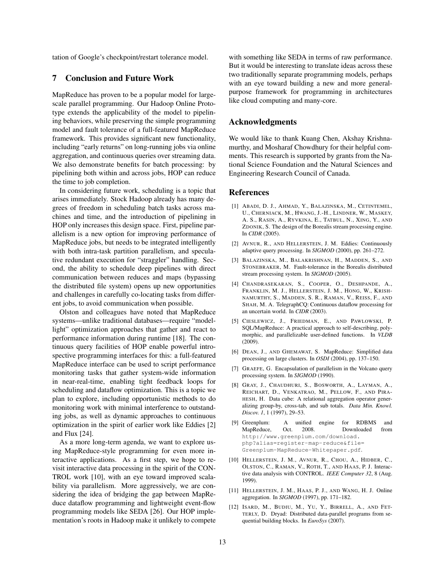tation of Google's checkpoint/restart tolerance model.

#### 7 Conclusion and Future Work

MapReduce has proven to be a popular model for largescale parallel programming. Our Hadoop Online Prototype extends the applicability of the model to pipelining behaviors, while preserving the simple programming model and fault tolerance of a full-featured MapReduce framework. This provides significant new functionality, including "early returns" on long-running jobs via online aggregation, and continuous queries over streaming data. We also demonstrate benefits for batch processing: by pipelining both within and across jobs, HOP can reduce the time to job completion.

In considering future work, scheduling is a topic that arises immediately. Stock Hadoop already has many degrees of freedom in scheduling batch tasks across machines and time, and the introduction of pipelining in HOP only increases this design space. First, pipeline parallelism is a new option for improving performance of MapReduce jobs, but needs to be integrated intelligently with both intra-task partition parallelism, and speculative redundant execution for "straggler" handling. Second, the ability to schedule deep pipelines with direct communication between reduces and maps (bypassing the distributed file system) opens up new opportunities and challenges in carefully co-locating tasks from different jobs, to avoid communication when possible.

Olston and colleagues have noted that MapReduce systems—unlike traditional databases—require "modellight" optimization approaches that gather and react to performance information during runtime [18]. The continuous query facilities of HOP enable powerful introspective programming interfaces for this: a full-featured MapReduce interface can be used to script performance monitoring tasks that gather system-wide information in near-real-time, enabling tight feedback loops for scheduling and dataflow optimization. This is a topic we plan to explore, including opportunistic methods to do monitoring work with minimal interference to outstanding jobs, as well as dynamic approaches to continuous optimization in the spirit of earlier work like Eddies [2] and Flux [24].

As a more long-term agenda, we want to explore using MapReduce-style programming for even more interactive applications. As a first step, we hope to revisit interactive data processing in the spirit of the CON-TROL work [10], with an eye toward improved scalability via parallelism. More aggressively, we are considering the idea of bridging the gap between MapReduce dataflow programming and lightweight event-flow programming models like SEDA [26]. Our HOP implementation's roots in Hadoop make it unlikely to compete with something like SEDA in terms of raw performance. But it would be interesting to translate ideas across these two traditionally separate programming models, perhaps with an eye toward building a new and more generalpurpose framework for programming in architectures like cloud computing and many-core.

### Acknowledgments

We would like to thank Kuang Chen, Akshay Krishnamurthy, and Mosharaf Chowdhury for their helpful comments. This research is supported by grants from the National Science Foundation and the Natural Sciences and Engineering Research Council of Canada.

#### References

- [1] ABADI, D. J., AHMAD, Y., BALAZINSKA, M., CETINTEMEL, U., CHERNIACK, M., HWANG, J.-H., LINDNER, W., MASKEY, A. S., RASIN, A., RYVKINA, E., TATBUL, N., XING, Y., AND ZDONIK, S. The design of the Borealis stream processing engine. In *CIDR* (2005).
- [2] AVNUR, R., AND HELLERSTEIN, J. M. Eddies: Continuously adaptive query processing. In *SIGMOD* (2000), pp. 261–272.
- [3] BALAZINSKA, M., BALAKRISHNAN, H., MADDEN, S., AND STONEBRAKER, M. Fault-tolerance in the Borealis distributed stream processing system. In *SIGMOD* (2005).
- [4] CHANDRASEKARAN, S., COOPER, O., DESHPANDE, A., FRANKLIN, M. J., HELLERSTEIN, J. M., HONG, W., KRISH-NAMURTHY, S., MADDEN, S. R., RAMAN, V., REISS, F., AND SHAH, M. A. TelegraphCQ: Continuous dataflow processing for an uncertain world. In *CIDR* (2003).
- [5] CIESLEWICZ, J., FRIEDMAN, E., AND PAWLOWSKI, P. SQL/MapReduce: A practical approach to self-describing, polymorphic, and parallelizable user-defined functions. In *VLDB* (2009).
- [6] DEAN, J., AND GHEMAWAT, S. MapReduce: Simplified data processing on large clusters. In *OSDI* (2004), pp. 137–150.
- [7] GRAEFE, G. Encapsulation of parallelism in the Volcano query processing system. In *SIGMOD* (1990).
- [8] GRAY, J., CHAUDHURI, S., BOSWORTH, A., LAYMAN, A., REICHART, D., VENKATRAO, M., PELLOW, F., AND PIRA-HESH, H. Data cube: A relational aggregation operator generalizing group-by, cross-tab, and sub totals. *Data Min. Knowl. Discov. 1*, 1 (1997), 29–53.
- [9] Greenplum: A unified engine for RDBMS and MapReduce, Oct. 2008. Downloaded from http://www.greenplum.com/download. php?alias=register-map-reduce&file= Greenplum-MapReduce-Whitepaper.pdf.
- [10] HELLERSTEIN, J. M., AVNUR, R., CHOU, A., HIDBER, C., OLSTON, C., RAMAN, V., ROTH, T., AND HAAS, P. J. Interactive data analysis with CONTROL. *IEEE Computer 32*, 8 (Aug. 1999).
- [11] HELLERSTEIN, J. M., HAAS, P. J., AND WANG, H. J. Online aggregation. In *SIGMOD* (1997), pp. 171–182.
- [12] ISARD, M., BUDIU, M., YU, Y., BIRRELL, A., AND FET-TERLY, D. Dryad: Distributed data-parallel programs from sequential building blocks. In *EuroSys* (2007).